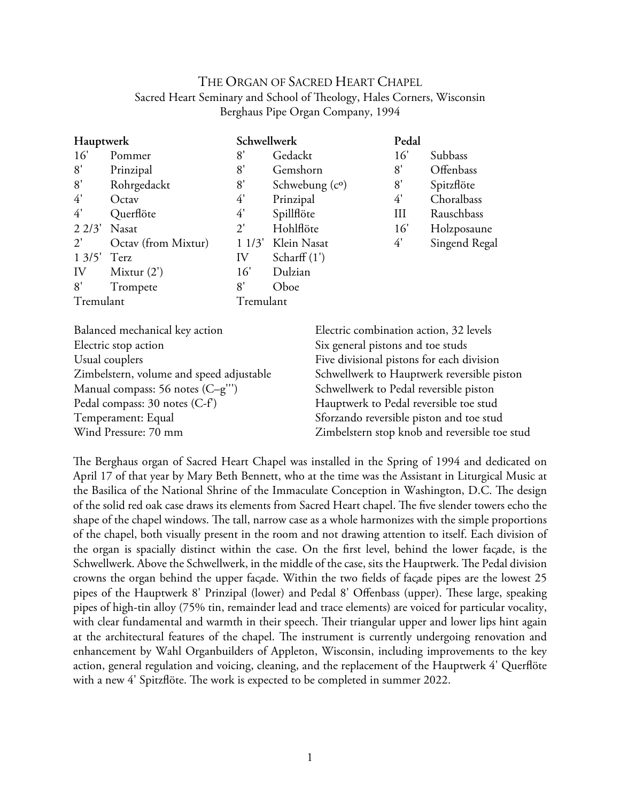# THE ORGAN OF SACRED HEART CHAPEL Sacred Heart Seminary and School of Theology, Hales Corners, Wisconsin Berghaus Pipe Organ Company, 1994

| Hauptwerk       |                     | Schwellwerk  |                         | Pedal |               |
|-----------------|---------------------|--------------|-------------------------|-------|---------------|
| 16'             | Pommer              | 8'           | Gedackt                 | 16'   | Subbass       |
| 8'              | Prinzipal           | 8'           | Gemshorn                | 8'    | Offenbass     |
| 8'              | Rohrgedackt         | 8'           | Schwebung $(c^{\circ})$ | 8'    | Spitzflöte    |
| 4'              | Octav               | 4'           | Prinzipal               | 4'    | Choralbass    |
| 4'              | Querflöte           | 4'           | Spillflöte              | Ш     | Rauschbass    |
| 22/3'           | Nasat               | $2^{\prime}$ | Hohlflöte               | 16'   | Holzposaune   |
| $2^{\prime}$    | Octav (from Mixtur) | 11/3'        | Klein Nasat             | 4'    | Singend Regal |
| $1 \frac{3}{5}$ | Terz                | IV           | Scharff $(1')$          |       |               |
| IV              | Mixtur $(2')$       | 16'          | Dulzian                 |       |               |
| 8'              | Trompete            | 8'           | Oboe                    |       |               |
| Tremulant       |                     | Tremulant    |                         |       |               |

| Balanced mechanical key action           | Electric combination action, 32 levels        |
|------------------------------------------|-----------------------------------------------|
| Electric stop action                     | Six general pistons and toe studs             |
| Usual couplers                           | Five divisional pistons for each division     |
| Zimbelstern, volume and speed adjustable | Schwellwerk to Hauptwerk reversible piston    |
| Manual compass: 56 notes (C-g")          | Schwellwerk to Pedal reversible piston        |
| Pedal compass: 30 notes (C-f)            | Hauptwerk to Pedal reversible toe stud        |
| Temperament: Equal                       | Sforzando reversible piston and toe stud      |
| Wind Pressure: 70 mm                     | Zimbelstern stop knob and reversible toe stud |
|                                          |                                               |

The Berghaus organ of Sacred Heart Chapel was installed in the Spring of 1994 and dedicated on April 17 of that year by Mary Beth Bennett, who at the time was the Assistant in Liturgical Music at the Basilica of the National Shrine of the Immaculate Conception in Washington, D.C. The design of the solid red oak case draws its elements from Sacred Heart chapel. The five slender towers echo the shape of the chapel windows. The tall, narrow case as a whole harmonizes with the simple proportions of the chapel, both visually present in the room and not drawing attention to itself. Each division of the organ is spacially distinct within the case. On the frst level, behind the lower façade, is the Schwellwerk. Above the Schwellwerk, in the middle of the case, sits the Hauptwerk. The Pedal division crowns the organ behind the upper façade. Within the two felds of façade pipes are the lowest 25 pipes of the Hauptwerk 8' Prinzipal (lower) and Pedal 8' Offenbass (upper). These large, speaking pipes of high-tin alloy (75% tin, remainder lead and trace elements) are voiced for particular vocality, with clear fundamental and warmth in their speech. Their triangular upper and lower lips hint again at the architectural features of the chapel. The instrument is currently undergoing renovation and enhancement by Wahl Organbuilders of Appleton, Wisconsin, including improvements to the key action, general regulation and voicing, cleaning, and the replacement of the Hauptwerk 4' Querföte with a new 4' Spitzflöte. The work is expected to be completed in summer 2022.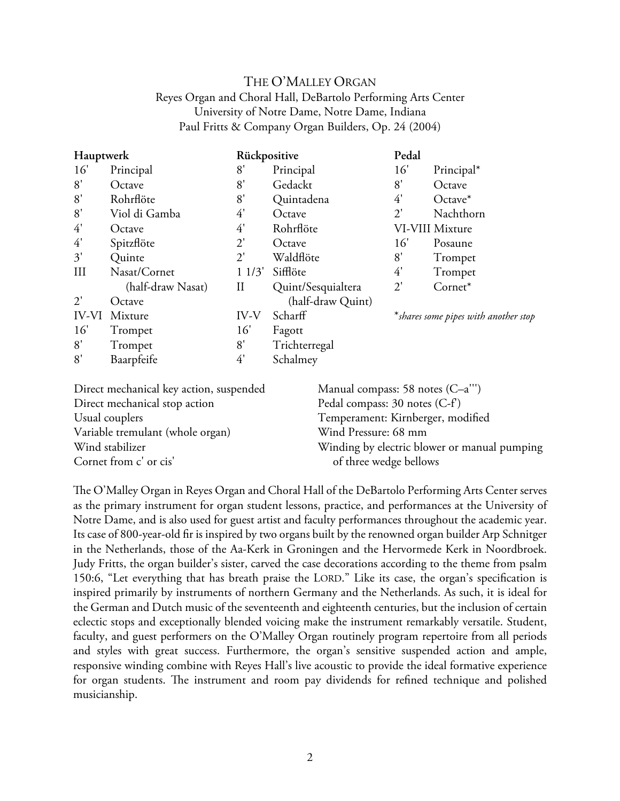# THE O'MALLEY ORGAN Reyes Organ and Choral Hall, DeBartolo Performing Arts Center University of Notre Dame, Notre Dame, Indiana Paul Fritts & Company Organ Builders, Op. 24 (2004)

| Hauptwerk    |                   | Rückpositive |                    | Pedal        |                                       |
|--------------|-------------------|--------------|--------------------|--------------|---------------------------------------|
| 16'          | Principal         | 8'           | Principal          | 16'          | Principal*                            |
| 8'           | Octave            | 8'           | Gedackt            | 8'           | Octave                                |
| 8'           | Rohrflöte         | 8'           | Quintadena         | 4'           | $Octave*$                             |
| 8'           | Viol di Gamba     | 4'           | Octave             | $2^{\prime}$ | Nachthorn                             |
| 4'           | Octave            | 4'           | Rohrflöte          |              | VI-VIII Mixture                       |
| 4'           | Spitzflöte        | $2^{\prime}$ | Octave             | 16'          | Posaune                               |
| 3'           | Quinte            | 2'           | Waldflöte          | 8'           | Trompet                               |
| III          | Nasat/Cornet      | 11/3'        | Sifflöte           | 4'           | Trompet                               |
|              | (half-draw Nasat) | Н            | Quint/Sesquialtera | $2^{\prime}$ | Cornet*                               |
| $2^{\prime}$ | Octave            |              | (half-draw Quint)  |              |                                       |
| <b>IV-VI</b> | Mixture           | IV-V         | Scharff            |              | * shares some pipes with another stop |
| 16'          | Trompet           | 16'          | Fagott             |              |                                       |
| 8'           | Trompet           | 8'           | Trichterregal      |              |                                       |
| 8'           | Baarpfeife        | 4'           | Schalmey           |              |                                       |

| Direct mechanical key action, suspended | Manual compass: 58 notes $(C-a^{\prime\prime})$ |
|-----------------------------------------|-------------------------------------------------|
| Direct mechanical stop action           | Pedal compass: 30 notes (C-f)                   |
| Usual couplers                          | Temperament: Kirnberger, modified               |
| Variable tremulant (whole organ)        | Wind Pressure: 68 mm                            |
| Wind stabilizer                         | Winding by electric blower or manual pumping    |
| Cornet from c' or cis'                  | of three wedge bellows                          |

The O'Malley Organ in Reyes Organ and Choral Hall of the DeBartolo Performing Arts Center serves as the primary instrument for organ student lessons, practice, and performances at the University of Notre Dame, and is also used for guest artist and faculty performances throughout the academic year. Its case of 800-year-old fr is inspired by two organs built by the renowned organ builder Arp Schnitger in the Netherlands, those of the Aa-Kerk in Groningen and the Hervormede Kerk in Noordbroek. Judy Fritts, the organ builder's sister, carved the case decorations according to the theme from psalm 150:6, "Let everything that has breath praise the LORD." Like its case, the organ's specifcation is inspired primarily by instruments of northern Germany and the Netherlands. As such, it is ideal for the German and Dutch music of the seventeenth and eighteenth centuries, but the inclusion of certain eclectic stops and exceptionally blended voicing make the instrument remarkably versatile. Student, faculty, and guest performers on the O'Malley Organ routinely program repertoire from all periods and styles with great success. Furthermore, the organ's sensitive suspended action and ample, responsive winding combine with Reyes Hall's live acoustic to provide the ideal formative experience for organ students. The instrument and room pay dividends for refined technique and polished musicianship.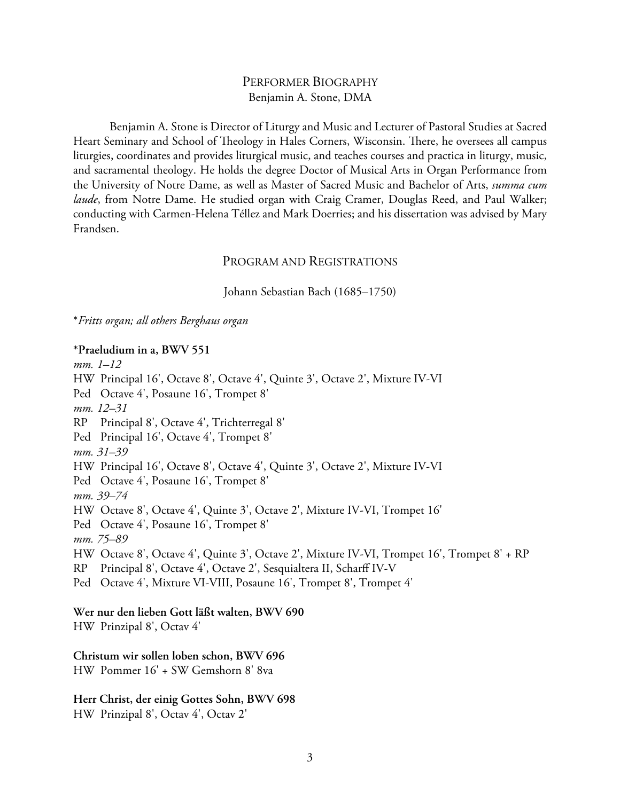## PERFORMER BIOGRAPHY Benjamin A. Stone, DMA

Benjamin A. Stone is Director of Liturgy and Music and Lecturer of Pastoral Studies at Sacred Heart Seminary and School of Theology in Hales Corners, Wisconsin. There, he oversees all campus liturgies, coordinates and provides liturgical music, and teaches courses and practica in liturgy, music, and sacramental theology. He holds the degree Doctor of Musical Arts in Organ Performance from the University of Notre Dame, as well as Master of Sacred Music and Bachelor of Arts, *summa cum laude*, from Notre Dame. He studied organ with Craig Cramer, Douglas Reed, and Paul Walker; conducting with Carmen-Helena Téllez and Mark Doerries; and his dissertation was advised by Mary Frandsen.

## PROGRAM AND REGISTRATIONS

Johann Sebastian Bach (1685–1750)

\**Fritts organ; all others Berghaus organ*

### **\*Praeludium in a, BWV 551**

*mm. 1–12* HW Principal 16', Octave 8', Octave 4', Quinte 3', Octave 2', Mixture IV-VI Ped Octave 4', Posaune 16', Trompet 8' *mm. 12–31* RP Principal 8', Octave 4', Trichterregal 8' Ped Principal 16', Octave 4', Trompet 8' *mm. 31–39* HW Principal 16', Octave 8', Octave 4', Quinte 3', Octave 2', Mixture IV-VI Ped Octave 4', Posaune 16', Trompet 8' *mm. 39–74* HW Octave 8', Octave 4', Quinte 3', Octave 2', Mixture IV-VI, Trompet 16' Ped Octave 4', Posaune 16', Trompet 8' *mm. 75–89* HW Octave 8', Octave 4', Quinte 3', Octave 2', Mixture IV-VI, Trompet 16', Trompet 8' + RP RP Principal 8', Octave 4', Octave 2', Sesquialtera II, Scharff IV-V Ped Octave 4', Mixture VI-VIII, Posaune 16', Trompet 8', Trompet 4' **Wer nur den lieben Gott läßt walten, BWV 690**

HW Prinzipal 8', Octav 4'

### **Christum wir sollen loben schon, BWV 696**

HW Pommer 16' + SW Gemshorn 8' 8va

**Herr Christ, der einig Gottes Sohn, BWV 698** HW Prinzipal 8', Octav 4', Octav 2'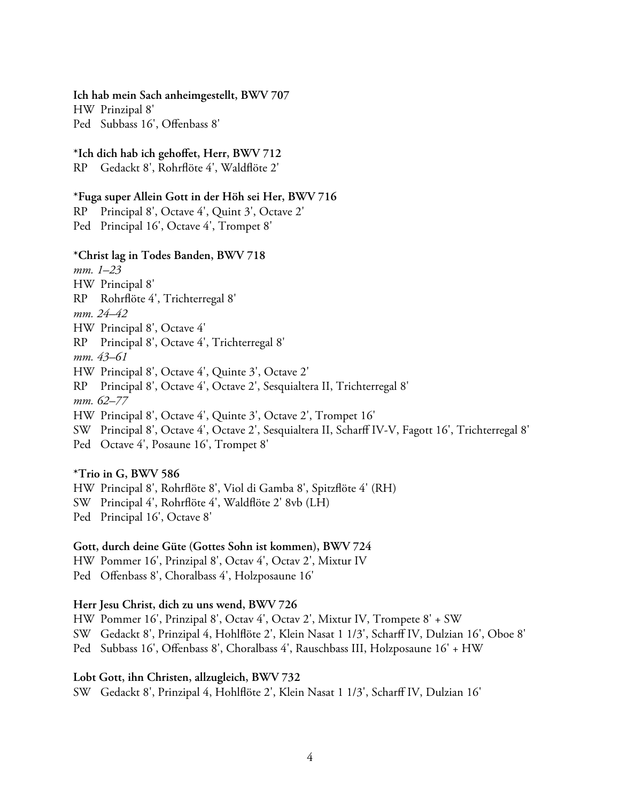**Ich hab mein Sach anheimgestellt, BWV 707**

HW Prinzipal 8' Ped Subbass 16', Offenbass 8'

### **\*Ich dich hab ich gehoffet, Herr, BWV 712**

RP Gedackt 8', Rohrföte 4', Waldföte 2'

### **\*Fuga super Allein Gott in der Höh sei Her, BWV 716**

RP Principal 8', Octave 4', Quint 3', Octave 2' Ped Principal 16', Octave 4', Trompet 8'

### **\*Christ lag in Todes Banden, BWV 718**

*mm. 1–23* HW Principal 8' RP Rohrföte 4', Trichterregal 8' *mm. 24–42* HW Principal 8', Octave 4' RP Principal 8', Octave 4', Trichterregal 8' *mm. 43–61* HW Principal 8', Octave 4', Quinte 3', Octave 2' RP Principal 8', Octave 4', Octave 2', Sesquialtera II, Trichterregal 8' *mm. 62–77* HW Principal 8', Octave 4', Quinte 3', Octave 2', Trompet 16' SW Principal 8', Octave 4', Octave 2', Sesquialtera II, Scharff IV-V, Fagott 16', Trichterregal 8' Ped Octave 4', Posaune 16', Trompet 8'

# **\*Trio in G, BWV 586**

HW Principal 8', Rohrföte 8', Viol di Gamba 8', Spitzföte 4' (RH)

SW Principal 4', Rohrföte 4', Waldföte 2' 8vb (LH)

Ped Principal 16', Octave 8'

### **Gott, durch deine Güte (Gottes Sohn ist kommen), BWV 724**

HW Pommer 16', Prinzipal 8', Octav 4', Octav 2', Mixtur IV

Ped Offenbass 8', Choralbass 4', Holzposaune 16'

### **Herr Jesu Christ, dich zu uns wend, BWV 726**

HW Pommer 16', Prinzipal 8', Octav 4', Octav 2', Mixtur IV, Trompete 8' + SW SW Gedackt 8', Prinzipal 4, Hohlföte 2', Klein Nasat 1 1/3', Scharff IV, Dulzian 16', Oboe 8' Ped Subbass 16', Offenbass 8', Choralbass 4', Rauschbass III, Holzposaune 16' + HW

### **Lobt Gott, ihn Christen, allzugleich, BWV 732**

SW Gedackt 8', Prinzipal 4, Hohlföte 2', Klein Nasat 1 1/3', Scharff IV, Dulzian 16'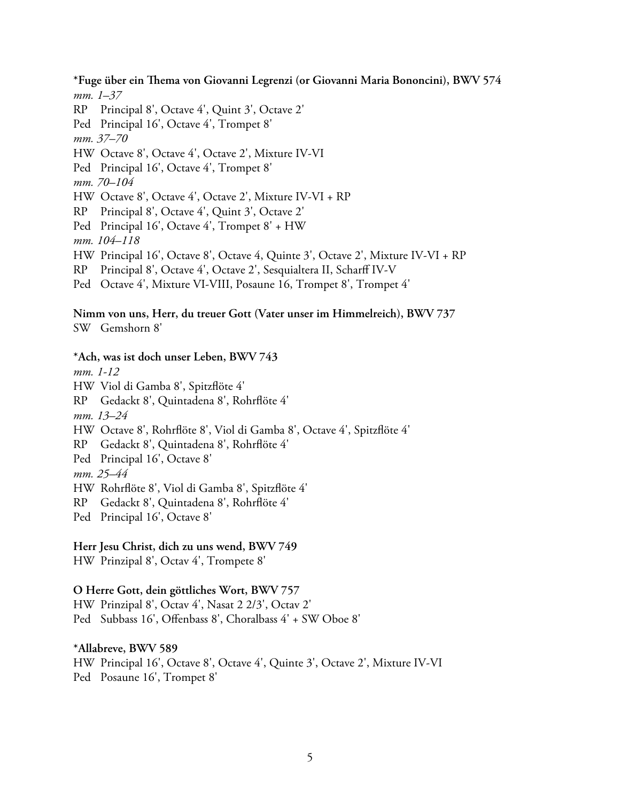**\*Fuge über ein Tema von Giovanni Legrenzi (or Giovanni Maria Bononcini), BWV 574** *mm. 1–37*

RP Principal 8', Octave 4', Quint 3', Octave 2' Ped Principal 16', Octave 4', Trompet 8' *mm. 37–70* HW Octave 8', Octave 4', Octave 2', Mixture IV-VI Ped Principal 16', Octave 4', Trompet 8' *mm. 70–104* HW Octave 8', Octave 4', Octave 2', Mixture IV-VI + RP RP Principal 8', Octave 4', Quint 3', Octave 2' Ped Principal 16', Octave 4', Trompet 8' + HW *mm. 104–118* HW Principal 16', Octave 8', Octave 4, Quinte 3', Octave 2', Mixture IV-VI + RP RP Principal 8', Octave 4', Octave 2', Sesquialtera II, Scharff IV-V

Ped Octave 4', Mixture VI-VIII, Posaune 16, Trompet 8', Trompet 4'

# **Nimm von uns, Herr, du treuer Gott (Vater unser im Himmelreich), BWV 737**

SW Gemshorn 8'

### **\*Ach, was ist doch unser Leben, BWV 743**

*mm. 1-12* HW Viol di Gamba 8', Spitzföte 4' RP Gedackt 8', Quintadena 8', Rohrföte 4' *mm. 13–24* HW Octave 8', Rohrföte 8', Viol di Gamba 8', Octave 4', Spitzföte 4' RP Gedackt 8', Quintadena 8', Rohrföte 4' Ped Principal 16', Octave 8' *mm. 25–44* HW Rohrföte 8', Viol di Gamba 8', Spitzföte 4' RP Gedackt 8', Quintadena 8', Rohrföte 4' Ped Principal 16', Octave 8'

### **Herr Jesu Christ, dich zu uns wend, BWV 749**

HW Prinzipal 8', Octav 4', Trompete 8'

### **O Herre Gott, dein göttliches Wort, BWV 757**

HW Prinzipal 8', Octav 4', Nasat 2 2/3', Octav 2' Ped Subbass 16', Offenbass 8', Choralbass 4' + SW Oboe 8'

### **\*Allabreve, BWV 589**

HW Principal 16', Octave 8', Octave 4', Quinte 3', Octave 2', Mixture IV-VI Ped Posaune 16', Trompet 8'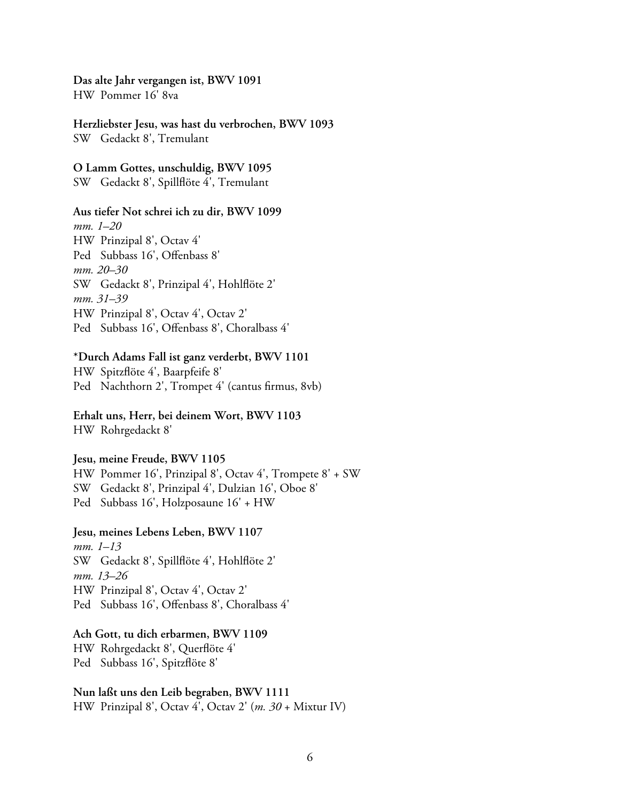# **Das alte Jahr vergangen ist, BWV 1091**

HW Pommer 16' 8va

### **Herzliebster Jesu, was hast du verbrochen, BWV 1093**

SW Gedackt 8', Tremulant

### **O Lamm Gottes, unschuldig, BWV 1095**

SW Gedackt 8', Spillföte 4', Tremulant

### **Aus tiefer Not schrei ich zu dir, BWV 1099**

*mm. 1–20* HW Prinzipal 8', Octav 4' Ped Subbass 16', Offenbass 8' *mm. 20–30* SW Gedackt 8', Prinzipal 4', Hohlföte 2' *mm. 31–39* HW Prinzipal 8', Octav 4', Octav 2' Ped Subbass 16', Offenbass 8', Choralbass 4'

## **\*Durch Adams Fall ist ganz verderbt, BWV 1101**

HW Spitzföte 4', Baarpfeife 8' Ped Nachthorn 2', Trompet 4' (cantus frmus, 8vb)

# **Erhalt uns, Herr, bei deinem Wort, BWV 1103**

HW Rohrgedackt 8'

### **Jesu, meine Freude, BWV 1105**

HW Pommer 16', Prinzipal 8', Octav 4', Trompete 8' + SW

- SW Gedackt 8', Prinzipal 4', Dulzian 16', Oboe 8'
- Ped Subbass 16', Holzposaune 16' + HW

### **Jesu, meines Lebens Leben, BWV 1107**

*mm. 1–13* SW Gedackt 8', Spillföte 4', Hohlföte 2' *mm. 13–26* HW Prinzipal 8', Octav 4', Octav 2' Ped Subbass 16', Offenbass 8', Choralbass 4'

### **Ach Gott, tu dich erbarmen, BWV 1109**

HW Rohrgedackt 8', Querföte 4' Ped Subbass 16', Spitzföte 8'

### **Nun laßt uns den Leib begraben, BWV 1111**

HW Prinzipal 8', Octav 4', Octav 2' (*m. 30* + Mixtur IV)